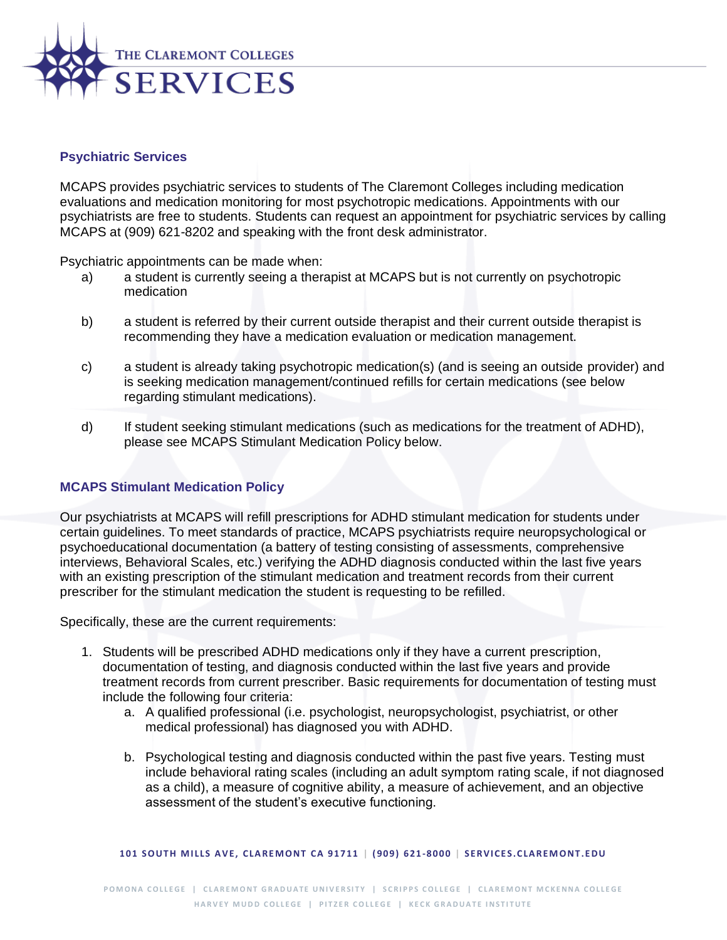

## **Psychiatric Services**

MCAPS provides psychiatric services to students of The Claremont Colleges including medication evaluations and medication monitoring for most psychotropic medications. Appointments with our psychiatrists are free to students. Students can request an appointment for psychiatric services by calling MCAPS at (909) 621-8202 and speaking with the front desk administrator.

Psychiatric appointments can be made when:

- a) a student is currently seeing a therapist at MCAPS but is not currently on psychotropic medication
- b) a student is referred by their current outside therapist and their current outside therapist is recommending they have a medication evaluation or medication management.
- c) a student is already taking psychotropic medication(s) (and is seeing an outside provider) and is seeking medication management/continued refills for certain medications (see below regarding stimulant medications).
- d) If student seeking stimulant medications (such as medications for the treatment of ADHD), please see MCAPS Stimulant Medication Policy below.

## **MCAPS Stimulant Medication Policy**

Our psychiatrists at MCAPS will refill prescriptions for ADHD stimulant medication for students under certain guidelines. To meet standards of practice, MCAPS psychiatrists require neuropsychological or psychoeducational documentation (a battery of testing consisting of assessments, comprehensive interviews, Behavioral Scales, etc.) verifying the ADHD diagnosis conducted within the last five years with an existing prescription of the stimulant medication and treatment records from their current prescriber for the stimulant medication the student is requesting to be refilled.

Specifically, these are the current requirements:

- 1. Students will be prescribed ADHD medications only if they have a current prescription, documentation of testing, and diagnosis conducted within the last five years and provide treatment records from current prescriber. Basic requirements for documentation of testing must include the following four criteria:
	- a. A qualified professional (i.e. psychologist, neuropsychologist, psychiatrist, or other medical professional) has diagnosed you with ADHD.
	- b. Psychological testing and diagnosis conducted within the past five years. Testing must include behavioral rating scales (including an adult symptom rating scale, if not diagnosed as a child), a measure of cognitive ability, a measure of achievement, and an objective assessment of the student's executive functioning.

**101 S O UT H M I LLS A V E , C LA RE M O NT C A 91711 | ( 909) 621-8000 | S E RV I C E S . C LA RE M O NT . E DU**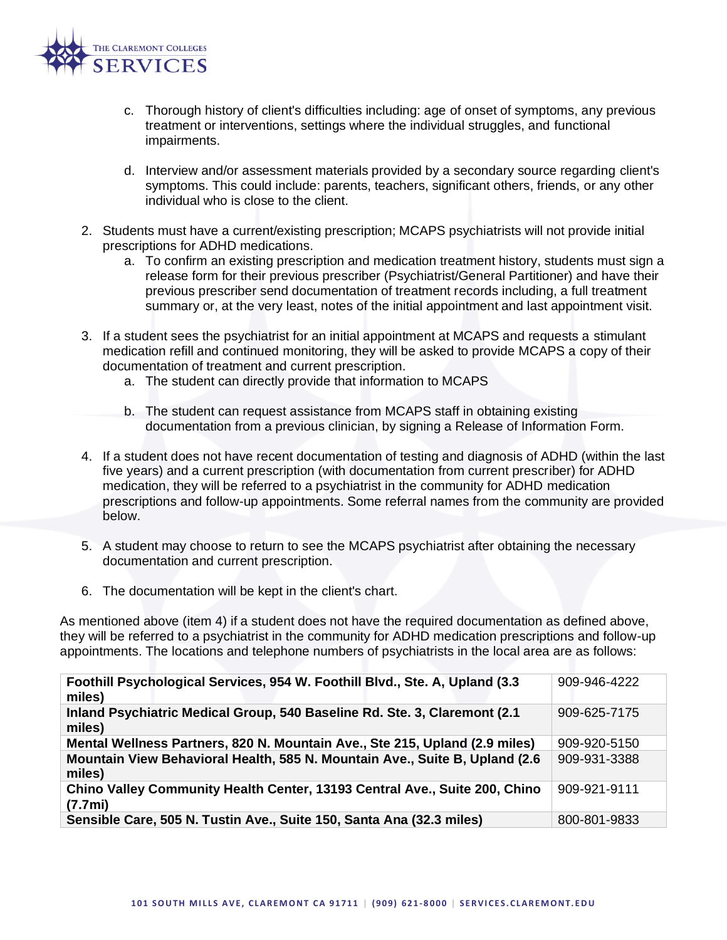

- c. Thorough history of client's difficulties including: age of onset of symptoms, any previous treatment or interventions, settings where the individual struggles, and functional impairments.
- d. Interview and/or assessment materials provided by a secondary source regarding client's symptoms. This could include: parents, teachers, significant others, friends, or any other individual who is close to the client.
- 2. Students must have a current/existing prescription; MCAPS psychiatrists will not provide initial prescriptions for ADHD medications.
	- a. To confirm an existing prescription and medication treatment history, students must sign a release form for their previous prescriber (Psychiatrist/General Partitioner) and have their previous prescriber send documentation of treatment records including, a full treatment summary or, at the very least, notes of the initial appointment and last appointment visit.
- 3. If a student sees the psychiatrist for an initial appointment at MCAPS and requests a stimulant medication refill and continued monitoring, they will be asked to provide MCAPS a copy of their documentation of treatment and current prescription.
	- a. The student can directly provide that information to MCAPS
	- b. The student can request assistance from MCAPS staff in obtaining existing documentation from a previous clinician, by signing a Release of Information Form.
- 4. If a student does not have recent documentation of testing and diagnosis of ADHD (within the last five years) and a current prescription (with documentation from current prescriber) for ADHD medication, they will be referred to a psychiatrist in the community for ADHD medication prescriptions and follow-up appointments. Some referral names from the community are provided below.
- 5. A student may choose to return to see the MCAPS psychiatrist after obtaining the necessary documentation and current prescription.
- 6. The documentation will be kept in the client's chart.

As mentioned above (item 4) if a student does not have the required documentation as defined above, they will be referred to a psychiatrist in the community for ADHD medication prescriptions and follow-up appointments. The locations and telephone numbers of psychiatrists in the local area are as follows:

| Foothill Psychological Services, 954 W. Foothill Blvd., Ste. A, Upland (3.3)<br>miles) | 909-946-4222 |
|----------------------------------------------------------------------------------------|--------------|
| Inland Psychiatric Medical Group, 540 Baseline Rd. Ste. 3, Claremont (2.1<br>miles)    | 909-625-7175 |
| Mental Wellness Partners, 820 N. Mountain Ave., Ste 215, Upland (2.9 miles)            | 909-920-5150 |
| Mountain View Behavioral Health, 585 N. Mountain Ave., Suite B, Upland (2.6)<br>miles) | 909-931-3388 |
| Chino Valley Community Health Center, 13193 Central Ave., Suite 200, Chino<br>(7.7mi)  | 909-921-9111 |
| Sensible Care, 505 N. Tustin Ave., Suite 150, Santa Ana (32.3 miles)                   | 800-801-9833 |